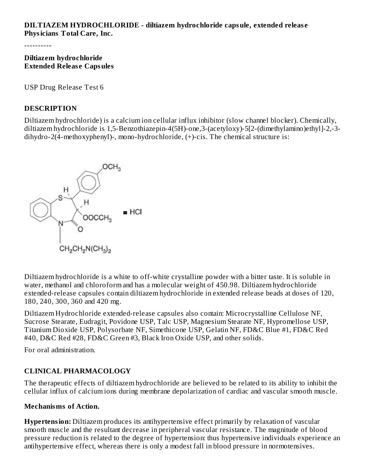## **DILTIAZEM HYDROCHLORIDE - diltiazem hydrochloride capsule, extended releas e Physicians Total Care, Inc.**

----------

**Diltiazem hydrochloride Extended Releas e Capsules**

USP Drug Release Test 6

## **DESCRIPTION**

Diltiazem hydrochloride) is a calcium ion cellular influx inhibitor (slow channel blocker). Chemically, diltiazem hydrochloride is 1,5-Benzothiazepin-4(5H)-one,3-(acetyloxy)-5[2-(dimethylamino)ethyl]-2,-3 dihydro-2(4-methoxyphenyl)-, mono-hydrochloride, (+)-cis. The chemical structure is:



Diltiazem hydrochloride is a white to off-white crystalline powder with a bitter taste. It is soluble in water, methanol and chloroform and has a molecular weight of 450.98. Diltiazem hydrochloride extended-release capsules contain diltiazem hydrochloride in extended release beads at doses of 120, 180, 240, 300, 360 and 420 mg.

Diltiazem Hydrochloride extended-release capsules also contain: Microcrystalline Cellulose NF, Sucrose Stearate, Eudragit, Povidone USP, Talc USP, Magnesium Stearate NF, Hypromellose USP, Titanium Dioxide USP, Polysorbate NF, Simethicone USP, Gelatin NF, FD&C Blue #1, FD&C Red #40, D&C Red #28, FD&C Green #3, Black Iron Oxide USP, and other solids.

For oral administration.

# **CLINICAL PHARMACOLOGY**

The therapeutic effects of diltiazem hydrochloride are believed to be related to its ability to inhibit the cellular influx of calcium ions during membrane depolarization of cardiac and vascular smooth muscle.

## **Mechanisms of Action.**

**Hypertension:** Diltiazem produces its antihypertensive effect primarily by relaxation of vascular smooth muscle and the resultant decrease in peripheral vascular resistance. The magnitude of blood pressure reduction is related to the degree of hypertension: thus hypertensive individuals experience an antihypertensive effect, whereas there is only a modest fall in blood pressure in normotensives.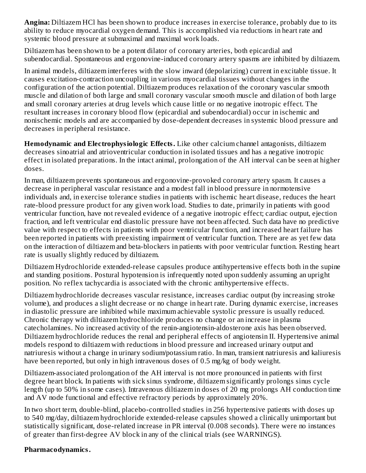**Angina:** Diltiazem HCl has been shown to produce increases in exercise tolerance, probably due to its ability to reduce myocardial oxygen demand. This is accomplished via reductions in heart rate and systemic blood pressure at submaximal and maximal work loads.

Diltiazem has been shown to be a potent dilator of coronary arteries, both epicardial and subendocardial. Spontaneous and ergonovine-induced coronary artery spasms are inhibited by diltiazem.

In animal models, diltiazem interferes with the slow inward (depolarizing) current in excitable tissue. It causes excitation-contraction uncoupling in various myocardial tissues without changes in the configuration of the action potential. Diltiazem produces relaxation of the coronary vascular smooth muscle and dilation of both large and small coronary vascular smooth muscle and dilation of both large and small coronary arteries at drug levels which cause little or no negative inotropic effect. The resultant increases in coronary blood flow (epicardial and subendocardial) occur in ischemic and nonischemic models and are accompanied by dose-dependent decreases in systemic blood pressure and decreases in peripheral resistance.

**Hemodynamic and Electrophysiologic Effects.** Like other calcium channel antagonists, diltiazem decreases sinoatrial and atrioventricular conduction in isolated tissues and has a negative inotropic effect in isolated preparations. In the intact animal, prolongation of the AH interval can be seen at higher doses.

In man, diltiazem prevents spontaneous and ergonovine-provoked coronary artery spasm. It causes a decrease in peripheral vascular resistance and a modest fall in blood pressure in normotensive individuals and, in exercise tolerance studies in patients with ischemic heart disease, reduces the heart rate-blood pressure product for any given work load. Studies to date, primarily in patients with good ventricular function, have not revealed evidence of a negative inotropic effect; cardiac output, ejection fraction, and left ventricular end diastolic pressure have not been affected. Such data have no predictive value with respect to effects in patients with poor ventricular function, and increased heart failure has been reported in patients with preexisting impairment of ventricular function. There are as yet few data on the interaction of diltiazem and beta-blockers in patients with poor ventricular function. Resting heart rate is usually slightly reduced by diltiazem.

Diltiazem Hydrochloride extended-release capsules produce antihypertensive effects both in the supine and standing positions. Postural hypotension is infrequently noted upon suddenly assuming an upright position. No reflex tachycardia is associated with the chronic antihypertensive effects.

Diltiazem hydrochloride decreases vascular resistance, increases cardiac output (by increasing stroke volume), and produces a slight decrease or no change in heart rate. During dynamic exercise, increases in diastolic pressure are inhibited while maximum achievable systolic pressure is usually reduced. Chronic therapy with diltiazem hydrochloride produces no change or an increase in plasma catecholamines. No increased activity of the renin-angiotensin-aldosterone axis has been observed. Diltiazem hydrochloride reduces the renal and peripheral effects of angiotensin II. Hypertensive animal models respond to diltiazem with reductions in blood pressure and increased urinary output and natriuresis without a change in urinary sodium/potassium ratio. In man, transient natriuresis and kaliuresis have been reported, but only in high intravenous doses of 0.5 mg/kg of body weight.

Diltiazem-associated prolongation of the AH interval is not more pronounced in patients with first degree heart block. In patients with sick sinus syndrome, diltiazem significantly prolongs sinus cycle length (up to 50% in some cases). Intravenous diltiazem in doses of 20 mg prolongs AH conduction time and AV node functional and effective refractory periods by approximately 20%.

In two short term, double-blind, placebo-controlled studies in 256 hypertensive patients with doses up to 540 mg/day, diltiazem hydrochloride extended-release capsules showed a clinically unimportant but statistically significant, dose-related increase in PR interval (0.008 seconds). There were no instances of greater than first-degree AV block in any of the clinical trials (see WARNINGS).

## **Pharmacodynamics.**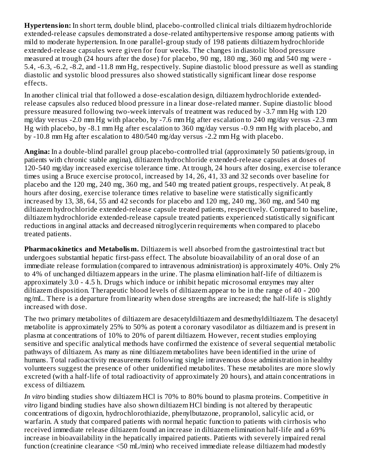**Hypertension:** In short term, double blind, placebo-controlled clinical trials diltiazem hydrochloride extended-release capsules demonstrated a dose-related antihypertensive response among patients with mild to moderate hypertension. In one parallel-group study of 198 patients diltiazem hydrochloride extended-release capsules were given for four weeks. The changes in diastolic blood pressure measured at trough (24 hours after the dose) for placebo, 90 mg, 180 mg, 360 mg and 540 mg were - 5.4, -6.3, -6.2, -8.2, and -11.8 mm Hg, respectively. Supine diastolic blood pressure as well as standing diastolic and systolic blood pressures also showed statistically significant linear dose response effects.

In another clinical trial that followed a dose-escalation design, diltiazem hydrochloride extendedrelease capsules also reduced blood pressure in a linear dose-related manner. Supine diastolic blood pressure measured following two-week intervals of treatment was reduced by -3.7 mm Hg with 120 mg/day versus -2.0 mm Hg with placebo, by -7.6 mm Hg after escalation to 240 mg/day versus -2.3 mm Hg with placebo, by -8.1 mm Hg after escalation to 360 mg/day versus -0.9 mm Hg with placebo, and by -10.8 mm Hg after escalation to 480/540 mg/day versus -2.2 mm Hg with placebo.

**Angina:** In a double-blind parallel group placebo-controlled trial (approximately 50 patients/group, in patients with chronic stable angina), diltiazem hydrochloride extended-release capsules at doses of 120-540 mg/day increased exercise tolerance time. At trough, 24 hours after dosing, exercise tolerance times using a Bruce exercise protocol, increased by 14, 26, 41, 33 and 32 seconds over baseline for placebo and the 120 mg, 240 mg, 360 mg, and 540 mg treated patient groups, respectively. At peak, 8 hours after dosing, exercise tolerance times relative to baseline were statistically significantly increased by 13, 38, 64, 55 and 42 seconds for placebo and 120 mg, 240 mg, 360 mg, and 540 mg diltiazem hydrochloride extended-release capsule treated patients, respectively. Compared to baseline, diltiazem hydrochloride extended-release capsule treated patients experienced statistically significant reductions in anginal attacks and decreased nitroglycerin requirements when compared to placebo treated patients.

**Pharmacokinetics and Metabolism.** Diltiazem is well absorbed from the gastrointestinal tract but undergoes substantial hepatic first-pass effect. The absolute bioavailability of an oral dose of an immediate release formulation (compared to intravenous administration) is approximately 40%. Only 2% to 4% of unchanged diltiazem appears in the urine. The plasma elimination half-life of diltiazem is approximately 3.0 - 4.5 h. Drugs which induce or inhibit hepatic microsomal enzymes may alter diltiazem disposition. Therapeutic blood levels of diltiazem appear to be in the range of 40 - 200 ng/mL. There is a departure from linearity when dose strengths are increased; the half-life is slightly increased with dose.

The two primary metabolites of diltiazem are desacetyldiltiazem and desmethyldiltiazem. The desacetyl metabolite is approximately 25% to 50% as potent a coronary vasodilator as diltiazem and is present in plasma at concentrations of 10% to 20% of parent diltiazem. However, recent studies employing sensitive and specific analytical methods have confirmed the existence of several sequential metabolic pathways of diltiazem. As many as nine diltiazem metabolites have been identified in the urine of humans. Total radioactivity measurements following single intravenous dose administration in healthy volunteers suggest the presence of other unidentified metabolites. These metabolites are more slowly excreted (with a half-life of total radioactivity of approximately 20 hours), and attain concentrations in excess of diltiazem.

*In vitro* binding studies show diltiazem HCl is 70% to 80% bound to plasma proteins. Competitive *in vitro* ligand binding studies have also shown diltiazem HCl binding is not altered by therapeutic concentrations of digoxin, hydrochlorothiazide, phenylbutazone, propranolol, salicylic acid, or warfarin. A study that compared patients with normal hepatic function to patients with cirrhosis who received immediate release diltiazem found an increase in diltiazem elimination half-life and a 69% increase in bioavailability in the hepatically impaired patients. Patients with severely impaired renal function (creatinine clearance <50 mL/min) who received immediate release diltiazem had modestly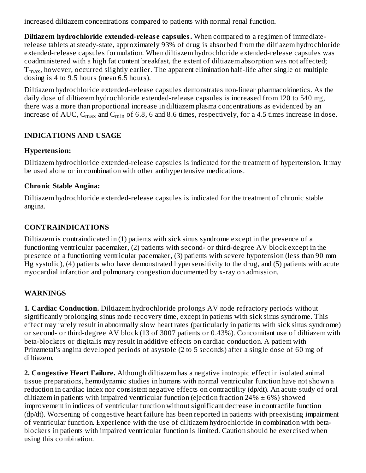increased diltiazem concentrations compared to patients with normal renal function.

**Diltiazem hydrochloride extended-releas e capsules.** When compared to a regimen of immediaterelease tablets at steady-state, approximately 93% of drug is absorbed from the diltiazem hydrochloride extended-release capsules formulation. When diltiazem hydrochloride extended-release capsules was coadministered with a high fat content breakfast, the extent of diltiazem absorption was not affected;  $\rm T_{max}$ , however, occurred slightly earlier. The apparent elimination half-life after single or multiple dosing is 4 to 9.5 hours (mean 6.5 hours).

Diltiazem hydrochloride extended-release capsules demonstrates non-linear pharmacokinetics. As the daily dose of diltiazem hydrochloride extended-release capsules is increased from 120 to 540 mg, there was a more than proportional increase in diltiazem plasma concentrations as evidenced by an increase of AUC,  $\rm C_{max}$  and  $\rm C_{min}$  of 6.8, 6 and 8.6 times, respectively, for a 4.5 times increase in dose.

## **INDICATIONS AND USAGE**

#### **Hypertension:**

Diltiazem hydrochloride extended-release capsules is indicated for the treatment of hypertension. It may be used alone or in combination with other antihypertensive medications.

## **Chronic Stable Angina:**

Diltiazem hydrochloride extended-release capsules is indicated for the treatment of chronic stable angina.

## **CONTRAINDICATIONS**

Diltiazem is contraindicated in (1) patients with sick sinus syndrome except in the presence of a functioning ventricular pacemaker, (2) patients with second- or third-degree AV block except in the presence of a functioning ventricular pacemaker, (3) patients with severe hypotension (less than 90 mm Hg systolic), (4) patients who have demonstrated hypersensitivity to the drug, and (5) patients with acute myocardial infarction and pulmonary congestion documented by x-ray on admission.

## **WARNINGS**

**1. Cardiac Conduction.** Diltiazem hydrochloride prolongs AV node refractory periods without significantly prolonging sinus node recovery time, except in patients with sick sinus syndrome. This effect may rarely result in abnormally slow heart rates (particularly in patients with sick sinus syndrome) or second- or third-degree AV block (13 of 3007 patients or 0.43%). Concomitant use of diltiazem with beta-blockers or digitalis may result in additive effects on cardiac conduction. A patient with Prinzmetal's angina developed periods of asystole (2 to 5 seconds) after a single dose of 60 mg of diltiazem.

**2. Congestive Heart Failure.** Although diltiazem has a negative inotropic effect in isolated animal tissue preparations, hemodynamic studies in humans with normal ventricular function have not shown a reduction in cardiac index nor consistent negative effects on contractility (dp/dt). An acute study of oral diltiazem in patients with impaired ventricular function (ejection fraction 24%  $\pm$  6%) showed improvement in indices of ventricular function without significant decrease in contractile function (dp/dt). Worsening of congestive heart failure has been reported in patients with preexisting impairment of ventricular function. Experience with the use of diltiazem hydrochloride in combination with betablockers in patients with impaired ventricular function is limited. Caution should be exercised when using this combination.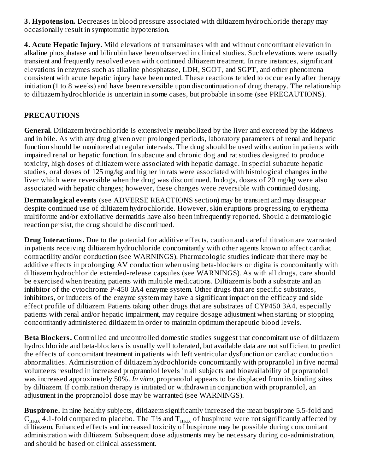**3. Hypotension.** Decreases in blood pressure associated with diltiazem hydrochloride therapy may occasionally result in symptomatic hypotension.

**4. Acute Hepatic Injury.** Mild elevations of transaminases with and without concomitant elevation in alkaline phosphatase and bilirubin have been observed in clinical studies. Such elevations were usually transient and frequently resolved even with continued diltiazem treatment. In rare instances, significant elevations in enzymes such as alkaline phosphatase, LDH, SGOT, and SGPT, and other phenomena consistent with acute hepatic injury have been noted. These reactions tended to occur early after therapy initiation (1 to 8 weeks) and have been reversible upon discontinuation of drug therapy. The relationship to diltiazem hydrochloride is uncertain in some cases, but probable in some (see PRECAUTIONS).

# **PRECAUTIONS**

**General.** Diltiazem hydrochloride is extensively metabolized by the liver and excreted by the kidneys and in bile. As with any drug given over prolonged periods, laboratory parameters of renal and hepatic function should be monitored at regular intervals. The drug should be used with caution in patients with impaired renal or hepatic function. In subacute and chronic dog and rat studies designed to produce toxicity, high doses of diltiazem were associated with hepatic damage. In special subacute hepatic studies, oral doses of 125 mg/kg and higher in rats were associated with histological changes in the liver which were reversible when the drug was discontinued. In dogs, doses of 20 mg/kg were also associated with hepatic changes; however, these changes were reversible with continued dosing.

**Dermatological events** (see ADVERSE REACTIONS section) may be transient and may disappear despite continued use of diltiazem hydrochloride. However, skin eruptions progressing to erythema multiforme and/or exfoliative dermatitis have also been infrequently reported. Should a dermatologic reaction persist, the drug should be discontinued.

**Drug Interactions.** Due to the potential for additive effects, caution and careful titration are warranted in patients receiving diltiazem hydrochloride concomitantly with other agents known to affect cardiac contractility and/or conduction (see WARNINGS). Pharmacologic studies indicate that there may be additive effects in prolonging AV conduction when using beta-blockers or digitalis concomitantly with diltiazem hydrochloride extended-release capsules (see WARNINGS). As with all drugs, care should be exercised when treating patients with multiple medications. Diltiazem is both a substrate and an inhibitor of the cytochrome P-450 3A4 enzyme system. Other drugs that are specific substrates, inhibitors, or inducers of the enzyme system may have a significant impact on the efficacy and side effect profile of diltiazem. Patients taking other drugs that are substrates of CYP450 3A4, especially patients with renal and/or hepatic impairment, may require dosage adjustment when starting or stopping concomitantly administered diltiazem in order to maintain optimum therapeutic blood levels.

**Beta Blockers.** Controlled and uncontrolled domestic studies suggest that concomitant use of diltiazem hydrochloride and beta-blockers is usually well tolerated, but available data are not sufficient to predict the effects of concomitant treatment in patients with left ventricular dysfunction or cardiac conduction abnormalities. Administration of diltiazem hydrochloride concomitantly with propranolol in five normal volunteers resulted in increased propranolol levels in all subjects and bioavailability of propranolol was increased approximately 50%. *In vitro*, propranolol appears to be displaced from its binding sites by diltiazem. If combination therapy is initiated or withdrawn in conjunction with propranolol, an adjustment in the propranolol dose may be warranted (see WARNINGS).

**Buspirone.** In nine healthy subjects, diltiazem significantly increased the mean buspirone 5.5-fold and  $\rm C_{max}$  4.1-fold compared to placebo. The T½ and  $\rm T_{max}$  of buspirone were not significantly affected by diltiazem. Enhanced effects and increased toxicity of buspirone may be possible during concomitant administration with diltiazem. Subsequent dose adjustments may be necessary during co-administration, and should be based on clinical assessment.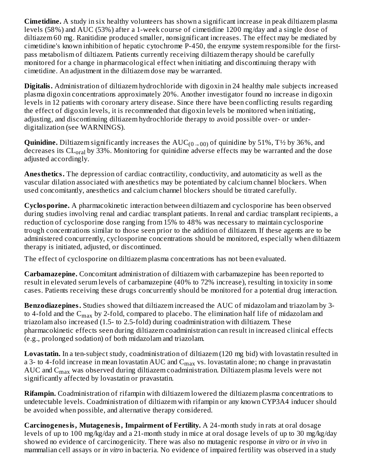**Cimetidine.** A study in six healthy volunteers has shown a significant increase in peak diltiazem plasma levels (58%) and AUC (53%) after a 1-week course of cimetidine 1200 mg/day and a single dose of diltiazem 60 mg. Ranitidine produced smaller, nonsignificant increases. The effect may be mediated by cimetidine's known inhibition of hepatic cytochrome P-450, the enzyme system responsible for the firstpass metabolism of diltiazem. Patients currently receiving diltiazem therapy should be carefully monitored for a change in pharmacological effect when initiating and discontinuing therapy with cimetidine. An adjustment in the diltiazem dose may be warranted.

**Digitalis.** Administration of diltiazem hydrochloride with digoxin in 24 healthy male subjects increased plasma digoxin concentrations approximately 20%. Another investigator found no increase in digoxin levels in 12 patients with coronary artery disease. Since there have been conflicting results regarding the effect of digoxin levels, it is recommended that digoxin levels be monitored when initiating, adjusting, and discontinuing diltiazem hydrochloride therapy to avoid possible over- or underdigitalization (see WARNINGS).

**Quinidine.** Diltiazem significantly increases the  $AUC_{(0\rightarrow 00)}$  of quinidine by 51%, T½ by 36%, and decreases its  $\rm CL_{oral}$  by 33%. Monitoring for quinidine adverse effects may be warranted and the dose adjusted accordingly.

**Anesthetics.** The depression of cardiac contractility, conductivity, and automaticity as well as the vascular dilation associated with anesthetics may be potentiated by calcium channel blockers. When used concomitantly, anesthetics and calcium channel blockers should be titrated carefully.

**Cyclosporine.** A pharmacokinetic interaction between diltiazem and cyclosporine has been observed during studies involving renal and cardiac transplant patients. In renal and cardiac transplant recipients, a reduction of cyclosporine dose ranging from 15% to 48% was necessary to maintain cyclosporine trough concentrations similar to those seen prior to the addition of diltiazem. If these agents are to be administered concurrently, cyclosporine concentrations should be monitored, especially when diltiazem therapy is initiated, adjusted, or discontinued.

The effect of cyclosporine on diltiazem plasma concentrations has not been evaluated.

**Carbamazepine.** Concomitant administration of diltiazem with carbamazepine has been reported to result in elevated serum levels of carbamazepine (40% to 72% increase), resulting in toxicity in some cases. Patients receiving these drugs concurrently should be monitored for a potential drug interaction.

**Benzodiazepines.** Studies showed that diltiazem increased the AUC of midazolam and triazolam by 3 to 4-fold and the  $\mathsf{C}_{\max}$  by 2-fold, compared to placebo. The elimination half life of midazolam and triazolam also increased (1.5- to 2.5-fold) during coadministration with diltiazem. These pharmacokinetic effects seen during diltiazem coadministration can result in increased clinical effects (e.g., prolonged sodation) of both midazolam and triazolam.

**Lovastatin.** In a ten-subject study, coadministration of diltiazem (120 mg bid) with lovastatin resulted in a 3- to 4-fold increase in mean lovastatin AUC and  $\rm{C_{max}}$  vs. lovastatin alone; no change in pravastatin  $\mathop{\rm AUC}\nolimits$  and  $\mathop{\rm C_{max}}\nolimits$  was observed during diltiazem  $\mathop{\rm coadmin}\nolimits$  istration. Diltiazem plasma levels were not significantly affected by lovastatin or pravastatin.

**Rifampin.** Coadministration of rifampin with diltiazem lowered the diltiazem plasma concentrations to undetectable levels. Coadministration of diltiazem with rifampin or any known CYP3A4 inducer should be avoided when possible, and alternative therapy considered.

**Carcinogenesis, Mutagenesis, Impairment of Fertility.** A 24-month study in rats at oral dosage levels of up to 100 mg/kg/day and a 21-month study in mice at oral dosage levels of up to 30 mg/kg/day showed no evidence of carcinogenicity. There was also no mutagenic response *in vitro* or *in vivo* in mammalian cell assays or *in vitro* in bacteria. No evidence of impaired fertility was observed in a study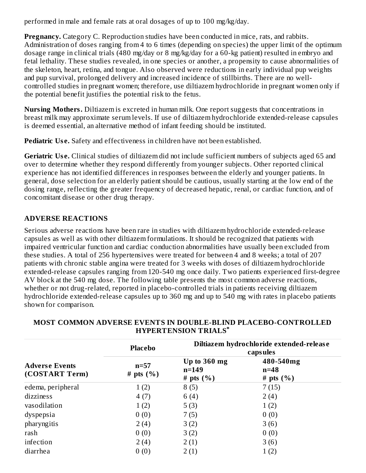performed in male and female rats at oral dosages of up to 100 mg/kg/day.

**Pregnancy.** Category C. Reproduction studies have been conducted in mice, rats, and rabbits. Administration of doses ranging from 4 to 6 times (depending on species) the upper limit of the optimum dosage range in clinical trials (480 mg/day or 8 mg/kg/day for a 60-kg patient) resulted in embryo and fetal lethality. These studies revealed, in one species or another, a propensity to cause abnormalities of the skeleton, heart, retina, and tongue. Also observed were reductions in early individual pup weights and pup survival, prolonged delivery and increased incidence of stillbirths. There are no wellcontrolled studies in pregnant women; therefore, use diltiazem hydrochloride in pregnant women only if the potential benefit justifies the potential risk to the fetus.

**Nursing Mothers.** Diltiazem is excreted in human milk. One report suggests that concentrations in breast milk may approximate serum levels. If use of diltiazem hydrochloride extended-release capsules is deemed essential, an alternative method of infant feeding should be instituted.

**Pediatric Use.** Safety and effectiveness in children have not been established.

**Geriatric Us e.** Clinical studies of diltiazem did not include sufficient numbers of subjects aged 65 and over to determine whether they respond differently from younger subjects. Other reported clinical experience has not identified differences in responses between the elderly and younger patients. In general, dose selection for an elderly patient should be cautious, usually starting at the low end of the dosing range, reflecting the greater frequency of decreased hepatic, renal, or cardiac function, and of concomitant disease or other drug therapy.

## **ADVERSE REACTIONS**

Serious adverse reactions have been rare in studies with diltiazem hydrochloride extended-release capsules as well as with other diltiazem formulations. It should be recognized that patients with impaired ventricular function and cardiac conduction abnormalities have usually been excluded from these studies. A total of 256 hypertensives were treated for between 4 and 8 weeks; a total of 207 patients with chronic stable angina were treated for 3 weeks with doses of diltiazem hydrochloride extended-release capsules ranging from 120-540 mg once daily. Two patients experienced first-degree AV block at the 540 mg dose. The following table presents the most common adverse reactions, whether or not drug-related, reported in placebo-controlled trials in patients receiving diltiazem hydrochloride extended-release capsules up to 360 mg and up to 540 mg with rates in placebo patients shown for comparison.

|                                         | <b>Placebo</b>          | Diltiazem hydrochloride extended-release<br>capsules |                                      |
|-----------------------------------------|-------------------------|------------------------------------------------------|--------------------------------------|
| <b>Adverse Events</b><br>(COSTART Term) | $n=57$<br># pts $(\% )$ | Up to $360$ mg<br>$n = 149$<br># pts $(\% )$         | 480-540mg<br>$n=48$<br># pts $(\% )$ |
| edema, peripheral                       | 1(2)                    | 8(5)                                                 | 7(15)                                |
| dizziness                               | 4(7)                    | 6(4)                                                 | 2(4)                                 |
| vasodilation                            | 1(2)                    | 5(3)                                                 | 1(2)                                 |
| dyspepsia                               | 0(0)                    | 7(5)                                                 | 0(0)                                 |
| pharyngitis                             | 2(4)                    | 3(2)                                                 | 3(6)                                 |
| rash                                    | 0(0)                    | 3(2)                                                 | 0(0)                                 |
| infection                               | 2(4)                    | 2(1)                                                 | 3(6)                                 |
| diarrhea                                | 0(0)                    | 2(1)                                                 | 1(2)                                 |

## **MOST COMMON ADVERSE EVENTS IN DOUBLE-BLIND PLACEBO-CONTROLLED HYPERTENSION TRIALS \***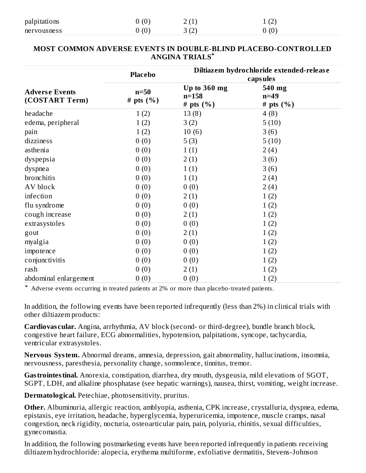| palpitations | (0) | (1)<br><u>_</u>        | (2)<br>÷ |
|--------------|-----|------------------------|----------|
| nervousness  | (0) | (2)<br>ັ<br>. <u>.</u> | (0)      |

#### **MOST COMMON ADVERSE EVENTS IN DOUBLE-BLIND PLACEBO-CONTROLLED ANGINA TRIALS \***

|                                         | <b>Placebo</b>          | Diltiazem hydrochloride extended-release<br>capsules |                                   |  |  |
|-----------------------------------------|-------------------------|------------------------------------------------------|-----------------------------------|--|--|
| <b>Adverse Events</b><br>(COSTART Term) | $n=50$<br># pts $(\% )$ | Up to $360$ mg<br>$n = 158$<br># pts $(\% )$         | 540 mg<br>$n=49$<br># pts $(\% )$ |  |  |
| headache                                | 1(2)                    | 13(8)                                                | 4(8)                              |  |  |
| edema, peripheral                       | 1(2)                    | 3(2)                                                 | 5(10)                             |  |  |
| pain                                    | 1(2)                    | 10(6)                                                | 3(6)                              |  |  |
| dizziness                               | 0(0)                    | 5(3)                                                 | 5(10)                             |  |  |
| asthenia                                | 0(0)                    | 1(1)                                                 | 2(4)                              |  |  |
| dyspepsia                               | 0(0)                    | 2(1)                                                 | 3(6)                              |  |  |
| dyspnea                                 | 0(0)                    | 1(1)                                                 | 3(6)                              |  |  |
| bronchitis                              | 0(0)                    | 1(1)                                                 | 2(4)                              |  |  |
| AV block                                | 0(0)                    | 0(0)                                                 | 2(4)                              |  |  |
| infection                               | 0(0)                    | 2(1)                                                 | 1(2)                              |  |  |
| flu syndrome                            | 0(0)                    | 0(0)                                                 | 1(2)                              |  |  |
| cough increase                          | 0(0)                    | 2(1)                                                 | 1(2)                              |  |  |
| extrasystoles                           | 0(0)                    | 0(0)                                                 | 1(2)                              |  |  |
| gout                                    | 0(0)                    | 2(1)                                                 | 1(2)                              |  |  |
| myalgia                                 | 0(0)                    | 0(0)                                                 | 1(2)                              |  |  |
| impotence                               | 0(0)                    | 0(0)                                                 | 1(2)                              |  |  |
| conjunctivitis                          | 0(0)                    | 0(0)                                                 | 1(2)                              |  |  |
| rash                                    | 0(0)                    | 2(1)                                                 | 1(2)                              |  |  |
| abdominal enlargement                   | 0(0)                    | 0(0)                                                 | 1(2)                              |  |  |

\* Adverse events occurring in treated patients at 2% or more than placebo-treated patients.

In addition, the following events have been reported infrequently (less than 2%) in clinical trials with other diltiazem products:

**Cardiovas cular.** Angina, arrhythmia, AV block (second- or third-degree), bundle branch block, congestive heart failure, ECG abnormalities, hypotension, palpitations, syncope, tachycardia, ventricular extrasystoles.

**Nervous System.** Abnormal dreams, amnesia, depression, gait abnormality, hallucinations, insomnia, nervousness, paresthesia, personality change, somnolence, tinnitus, tremor.

**Gastrointestinal.** Anorexia, constipation, diarrhea, dry mouth, dysgeusia, mild elevations of SGOT, SGPT, LDH, and alkaline phosphatase (see hepatic warnings), nausea, thirst, vomiting, weight increase.

**Dermatological.** Petechiae, photosensitivity, pruritus.

**Other.** Albuminuria, allergic reaction, amblyopia, asthenia, CPK increase, crystalluria, dyspnea, edema, epistaxis, eye irritation, headache, hyperglycemia, hyperuricemia, impotence, muscle cramps, nasal congestion, neck rigidity, nocturia, osteoarticular pain, pain, polyuria, rhinitis, sexual difficulties, gynecomastia.

In addition, the following postmarketing events have been reported infrequently in patients receiving diltiazem hydrochloride: alopecia, erythema multiforme, exfoliative dermatitis, Stevens-Johnson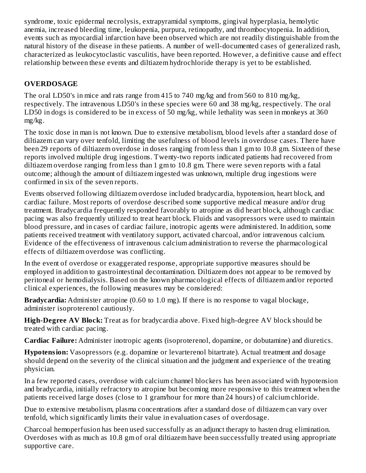syndrome, toxic epidermal necrolysis, extrapyramidal symptoms, gingival hyperplasia, hemolytic anemia, increased bleeding time, leukopenia, purpura, retinopathy, and thrombocytopenia. In addition, events such as myocardial infarction have been observed which are not readily distinguishable from the natural history of the disease in these patients. A number of well-documented cases of generalized rash, characterized as leukocytoclastic vasculitis, have been reported. However, a definitive cause and effect relationship between these events and diltiazem hydrochloride therapy is yet to be established.

# **OVERDOSAGE**

The oral LD50's in mice and rats range from 415 to 740 mg/kg and from 560 to 810 mg/kg, respectively. The intravenous LD50's in these species were 60 and 38 mg/kg, respectively. The oral LD50 in dogs is considered to be in excess of 50 mg/kg, while lethality was seen in monkeys at 360 mg/kg.

The toxic dose in man is not known. Due to extensive metabolism, blood levels after a standard dose of diltiazem can vary over tenfold, limiting the usefulness of blood levels in overdose cases. There have been 29 reports of diltiazem overdose in doses ranging from less than 1 gm to 10.8 gm. Sixteen of these reports involved multiple drug ingestions. Twenty-two reports indicated patients had recovered from diltiazem overdose ranging from less than 1 gm to 10.8 gm. There were seven reports with a fatal outcome; although the amount of diltiazem ingested was unknown, multiple drug ingestions were confirmed in six of the seven reports.

Events observed following diltiazem overdose included bradycardia, hypotension, heart block, and cardiac failure. Most reports of overdose described some supportive medical measure and/or drug treatment. Bradycardia frequently responded favorably to atropine as did heart block, although cardiac pacing was also frequently utilized to treat heart block. Fluids and vasopressors were used to maintain blood pressure, and in cases of cardiac failure, inotropic agents were administered. In addition, some patients received treatment with ventilatory support, activated charcoal, and/or intravenous calcium. Evidence of the effectiveness of intravenous calcium administration to reverse the pharmacological effects of diltiazem overdose was conflicting.

In the event of overdose or exaggerated response, appropriate supportive measures should be employed in addition to gastrointestinal decontamination. Diltiazem does not appear to be removed by peritoneal or hemodialysis. Based on the known pharmacological effects of diltiazem and/or reported clinical experiences, the following measures may be considered:

**Bradycardia:** Administer atropine (0.60 to 1.0 mg). If there is no response to vagal blockage, administer isoproterenol cautiously.

**High-Degree AV Block:** Treat as for bradycardia above. Fixed high-degree AV block should be treated with cardiac pacing.

**Cardiac Failure:** Administer inotropic agents (isoproterenol, dopamine, or dobutamine) and diuretics.

**Hypotension:** Vasopressors (e.g. dopamine or levarterenol bitartrate). Actual treatment and dosage should depend on the severity of the clinical situation and the judgment and experience of the treating physician.

In a few reported cases, overdose with calcium channel blockers has been associated with hypotension and bradycardia, initially refractory to atropine but becoming more responsive to this treatment when the patients received large doses (close to 1 gram/hour for more than 24 hours) of calcium chloride.

Due to extensive metabolism, plasma concentrations after a standard dose of diltiazem can vary over tenfold, which significantly limits their value in evaluation cases of overdosage.

Charcoal hemoperfusion has been used successfully as an adjunct therapy to hasten drug elimination. Overdoses with as much as 10.8 gm of oral diltiazem have been successfully treated using appropriate supportive care.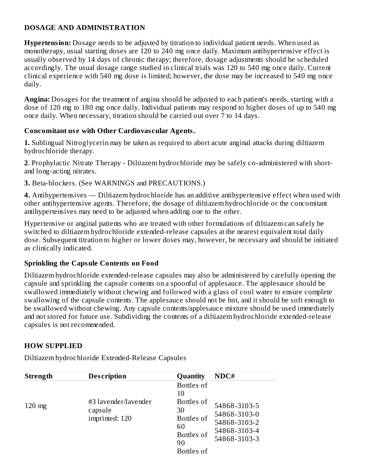## **DOSAGE AND ADMINISTRATION**

**Hypertension:** Dosage needs to be adjusted by titration to individual patient needs. When used as monotherapy, usual starting doses are 120 to 240 mg once daily. Maximum antihypertensive effect is usually observed by 14 days of chronic therapy; therefore, dosage adjustments should be scheduled accordingly. The usual dosage range studied in clinical trials was 120 to 540 mg once daily. Current clinical experience with 540 mg dose is limited; however, the dose may be increased to 540 mg once daily.

**Angina:** Dosages for the treatment of angina should be adjusted to each patient's needs, starting with a dose of 120 mg to 180 mg once daily. Individual patients may respond to higher doses of up to 540 mg once daily. When necessary, titration should be carried out over 7 to 14 days.

## **Concomitant us e with Other Cardiovas cular Agents.**

**1.** Sublingual Nitroglycerin may be taken as required to abort acute anginal attacks during diltiazem hydrochloride therapy.

**2**. Prophylactic Nitrate Therapy - Diltiazem hydrochloride may be safely co-administered with shortand long-acting nitrates.

**3.** Beta-blockers. (See WARNINGS and PRECAUTIONS.)

**4.** Antihypertensives — Diltiazem hydrochloride has an additive antihypertensive effect when used with other antihypertensive agents. Therefore, the dosage of diltiazem hydrochloride or the concomitant antihypertensives may need to be adjusted when adding one to the other.

Hypertensive or anginal patients who are treated with other formulations of diltiazem can safely be switched to diltiazem hydrochloride extended-release capsules at the nearest equivalent total daily dose. Subsequent titration to higher or lower doses may, however, be necessary and should be initiated as clinically indicated.

## **Sprinkling the Capsule Contents on Food**

Diltiazem hydrochloride extended-release capsules may also be administered by carefully opening the capsule and sprinkling the capsule contents on a spoonful of applesauce. The applesauce should be swallowed immediately without chewing and followed with a glass of cool water to ensure complete swallowing of the capsule contents. The applesauce should not be hot, and it should be soft enough to be swallowed without chewing. Any capsule contents/applesauce mixture should be used immediately and not stored for future use. Subdividing the contents of a diltiazem hydrochloride extended-release capsules is not recommended.

# **HOW SUPPLIED**

| <b>Strength</b>  | <b>Description</b>                                | <b>Quantity</b>                                                                                          | NDC#                                                                         |
|------------------|---------------------------------------------------|----------------------------------------------------------------------------------------------------------|------------------------------------------------------------------------------|
| $120 \text{ mg}$ | #3 lavender/lavender<br>capsule<br>imprinted: 120 | Bottles of<br>10<br>Bottles of<br>30<br>Bottles of<br>60<br><b>Bottles of</b><br>90<br><b>Bottles of</b> | 54868-3103-5<br>54868-3103-0<br>54868-3103-2<br>54868-3103-4<br>54868-3103-3 |

Diltiazem hydrochloride Extended-Release Capsules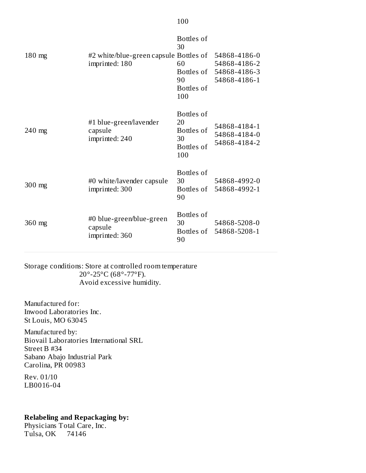| $180 \text{ mg}$ | #2 white/blue-green capsule Bottles of 54868-4186-0<br>imprinted: 180 | <b>Bottles</b> of<br>30<br>60<br>90<br>Bottles of<br>100         | 54868-4186-2<br>Bottles of 54868-4186-3<br>54868-4186-1 |
|------------------|-----------------------------------------------------------------------|------------------------------------------------------------------|---------------------------------------------------------|
| $240$ mg         | #1 blue-green/lavender<br>capsule<br>imprinted: 240                   | <b>Bottles of</b><br>20<br>Bottles of<br>30<br>Bottles of<br>100 | 54868-4184-1<br>54868-4184-0<br>54868-4184-2            |
| $300$ mg         | #0 white/lavender capsule<br>imprinted: 300                           | Bottles of<br>30<br>Bottles of<br>90                             | 54868-4992-0<br>54868-4992-1                            |
| 360 mg           | #0 blue-green/blue-green<br>capsule<br>imprinted: 360                 | <b>Bottles</b> of<br>30<br>90                                    | 54868-5208-0<br>Bottles of 54868-5208-1                 |

Storage conditions: Store at controlled room temperature 20°-25°C (68°-77°F). Avoid excessive humidity.

Manufactured for: Inwood Laboratories Inc. St Louis, MO 63045

Manufactured by: Biovail Laboratories International SRL Street B #34 Sabano Abajo Industrial Park Carolina, PR 00983

Rev. 01/10 LB0016-04

#### **Relabeling and Repackaging by:**

Physicians Total Care, Inc. Tulsa, OK 74146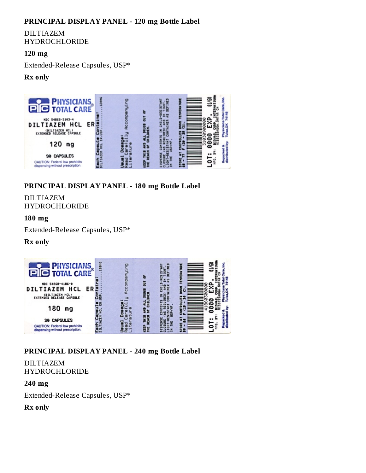## **PRINCIPAL DISPLAY PANEL - 120 mg Bottle Label**

DILTIAZEM HYDROCHLORIDE

#### **120 mg**

Extended-Release Capsules, USP\*

#### **Rx only**



## **PRINCIPAL DISPLAY PANEL - 180 mg Bottle Label**

DILTIAZEM HYDROCHLORIDE

#### **180 mg**

Extended-Release Capsules, USP\*

## **Rx only**



# **PRINCIPAL DISPLAY PANEL - 240 mg Bottle Label**

DILTIAZEM HYDROCHLORIDE

#### **240 mg**

Extended-Release Capsules, USP\*

**Rx only**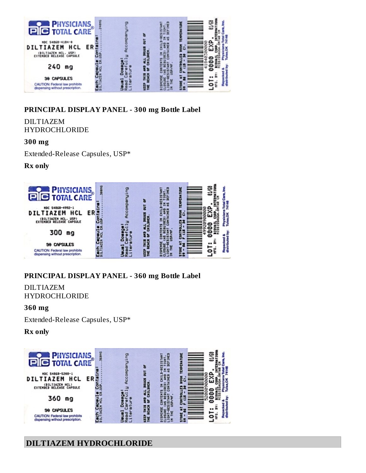

# **PRINCIPAL DISPLAY PANEL - 300 mg Bottle Label**

DILTIAZEM HYDROCHLORIDE

#### **300 mg**

Extended-Release Capsules, USP\*

**Rx only**



# **PRINCIPAL DISPLAY PANEL - 360 mg Bottle Label**

DILTIAZEM HYDROCHLORIDE

#### **360 mg**

Extended-Release Capsules, USP\*

#### **Rx only**



# **DILTIAZEM HYDROCHLORIDE**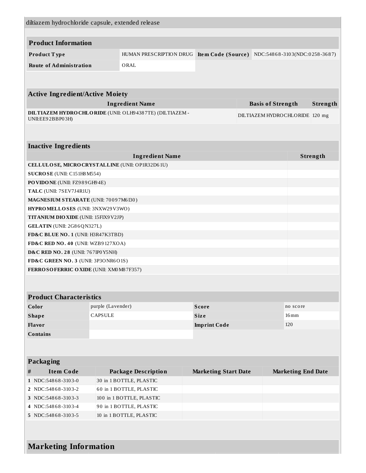| diltiazem hydrochloride capsule, extended release |                   |                                                          |                                                  |  |                                |                           |          |
|---------------------------------------------------|-------------------|----------------------------------------------------------|--------------------------------------------------|--|--------------------------------|---------------------------|----------|
| <b>Product Information</b>                        |                   |                                                          |                                                  |  |                                |                           |          |
|                                                   |                   |                                                          |                                                  |  |                                |                           |          |
| Product Type                                      |                   | HUMAN PRESCRIPTION DRUG                                  | Item Code (Source) NDC:54868-3103(NDC:0258-3687) |  |                                |                           |          |
| <b>Route of Administration</b>                    |                   | ORAL                                                     |                                                  |  |                                |                           |          |
|                                                   |                   |                                                          |                                                  |  |                                |                           |          |
|                                                   |                   |                                                          |                                                  |  |                                |                           |          |
| <b>Active Ingredient/Active Moiety</b>            |                   |                                                          |                                                  |  |                                |                           |          |
|                                                   |                   | <b>Ingredient Name</b>                                   |                                                  |  | <b>Basis of Strength</b>       |                           | Strength |
| UNII:EE92BBP03H)                                  |                   | DILTIAZEM HYDRO CHLORIDE (UNII: OLH94387TE) (DILTIAZEM - |                                                  |  | DILTIAZEM HYDROCHLORIDE 120 mg |                           |          |
|                                                   |                   |                                                          |                                                  |  |                                |                           |          |
|                                                   |                   |                                                          |                                                  |  |                                |                           |          |
| <b>Inactive Ingredients</b>                       |                   | <b>Ingredient Name</b>                                   |                                                  |  |                                |                           | Strength |
| CELLULOSE, MICRO CRYSTALLINE (UNII: OP1R32D61U)   |                   |                                                          |                                                  |  |                                |                           |          |
| SUCROSE (UNII: C151H8 M554)                       |                   |                                                          |                                                  |  |                                |                           |          |
| PO VIDO NE (UNII: FZ989GH94E)                     |                   |                                                          |                                                  |  |                                |                           |          |
| TALC (UNII: 7SEV7J4R1U)                           |                   |                                                          |                                                  |  |                                |                           |          |
| MAGNESIUM STEARATE (UNII: 70097M6I30)             |                   |                                                          |                                                  |  |                                |                           |          |
| HYPROMELLOSES (UNII: 3NXW29V3WO)                  |                   |                                                          |                                                  |  |                                |                           |          |
| TITANIUM DIO XIDE (UNII: 15FIX9V2JP)              |                   |                                                          |                                                  |  |                                |                           |          |
| GELATIN (UNII: 2G86QN327L)                        |                   |                                                          |                                                  |  |                                |                           |          |
| FD&C BLUE NO. 1 (UNII: H3R47K3TBD)                |                   |                                                          |                                                  |  |                                |                           |          |
| FD&C RED NO. 40 (UNII: WZB9127XOA)                |                   |                                                          |                                                  |  |                                |                           |          |
| D&C RED NO. 28 (UNII: 767IP0 Y5NH)                |                   |                                                          |                                                  |  |                                |                           |          |
| FD&C GREEN NO. 3 (UNII: 3P3ONR6O1S)               |                   |                                                          |                                                  |  |                                |                           |          |
| FERROSOFERRIC OXIDE (UNII: XM0 M8 7F357)          |                   |                                                          |                                                  |  |                                |                           |          |
|                                                   |                   |                                                          |                                                  |  |                                |                           |          |
| <b>Product Characteristics</b>                    |                   |                                                          |                                                  |  |                                |                           |          |
| Color                                             | purple (Lavender) |                                                          | <b>Score</b>                                     |  |                                | no score                  |          |
| <b>Shape</b>                                      | <b>CAPSULE</b>    |                                                          | <b>Size</b>                                      |  |                                | $16 \,\mathrm{mm}$        |          |
| Flavor                                            |                   |                                                          | <b>Imprint Code</b>                              |  |                                | 120                       |          |
| <b>Contains</b>                                   |                   |                                                          |                                                  |  |                                |                           |          |
|                                                   |                   |                                                          |                                                  |  |                                |                           |          |
|                                                   |                   |                                                          |                                                  |  |                                |                           |          |
| Packaging                                         |                   |                                                          |                                                  |  |                                |                           |          |
| <b>Item Code</b><br>#                             |                   | <b>Package Description</b>                               | <b>Marketing Start Date</b>                      |  |                                | <b>Marketing End Date</b> |          |
| 1 NDC:54868-3103-0                                |                   | 30 in 1 BOTTLE, PLASTIC                                  |                                                  |  |                                |                           |          |
| 2 NDC:54868-3103-2                                |                   | 60 in 1 BOTTLE, PLASTIC                                  |                                                  |  |                                |                           |          |
| 3 NDC:54868-3103-3                                |                   | 100 in 1 BOTTLE, PLASTIC                                 |                                                  |  |                                |                           |          |
| 4 NDC:54868-3103-4                                |                   | 90 in 1 BOTTLE, PLASTIC                                  |                                                  |  |                                |                           |          |
| 5 NDC:54868-3103-5                                |                   | 10 in 1 BOTTLE, PLASTIC                                  |                                                  |  |                                |                           |          |
|                                                   |                   |                                                          |                                                  |  |                                |                           |          |
|                                                   |                   |                                                          |                                                  |  |                                |                           |          |
| <b>Marketing Information</b>                      |                   |                                                          |                                                  |  |                                |                           |          |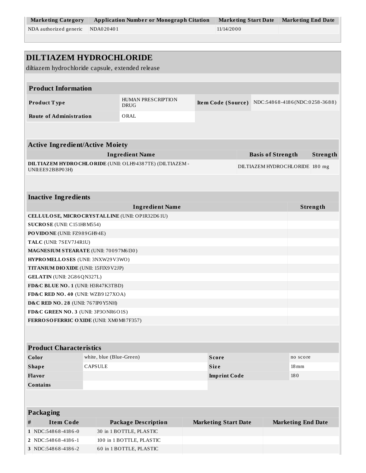| <b>Marketing Category</b>        | <b>Application Number or Monograph Citation</b> | <b>Marketing Start Date</b> | <b>Marketing End Date</b> |
|----------------------------------|-------------------------------------------------|-----------------------------|---------------------------|
| NDA authorized generic NDA020401 |                                                 | 11/14/2000                  |                           |

| <b>DILTIAZEM HYDROCHLORIDE</b>                                   |                          |                                                          |                                                  |                                |                           |          |
|------------------------------------------------------------------|--------------------------|----------------------------------------------------------|--------------------------------------------------|--------------------------------|---------------------------|----------|
| diltiazem hydrochloride capsule, extended release                |                          |                                                          |                                                  |                                |                           |          |
| <b>Product Information</b>                                       |                          |                                                          |                                                  |                                |                           |          |
|                                                                  |                          | HUMAN PRESCRIPTION                                       |                                                  |                                |                           |          |
| Product Type                                                     |                          | <b>DRUG</b>                                              | Item Code (Source) NDC:54868-4186(NDC:0258-3688) |                                |                           |          |
| <b>Route of Administration</b>                                   |                          | ORAL                                                     |                                                  |                                |                           |          |
|                                                                  |                          |                                                          |                                                  |                                |                           |          |
| <b>Active Ingredient/Active Moiety</b>                           |                          |                                                          |                                                  |                                |                           |          |
|                                                                  |                          | <b>Ingredient Name</b>                                   |                                                  | <b>Basis of Strength</b>       |                           | Strength |
| UNII:EE92BBP03H)                                                 |                          | DILTIAZEM HYDRO CHLORIDE (UNII: OLH94387TE) (DILTIAZEM - |                                                  | DILTIAZEM HYDROCHLORIDE 180 mg |                           |          |
|                                                                  |                          |                                                          |                                                  |                                |                           |          |
| <b>Inactive Ingredients</b>                                      |                          |                                                          |                                                  |                                |                           |          |
|                                                                  |                          | <b>Ingredient Name</b>                                   |                                                  |                                |                           | Strength |
|                                                                  |                          | CELLULOSE, MICRO CRYSTALLINE (UNII: OP1R32D61U)          |                                                  |                                |                           |          |
| SUCROSE (UNII: C151H8M554)                                       |                          |                                                          |                                                  |                                |                           |          |
| PO VIDO NE (UNII: FZ989GH94E)                                    |                          |                                                          |                                                  |                                |                           |          |
| TALC (UNII: 7SEV7J4R1U)<br>MAGNESIUM STEARATE (UNII: 70097M6I30) |                          |                                                          |                                                  |                                |                           |          |
| HYPROMELLOSES (UNII: 3NXW29V3WO)                                 |                          |                                                          |                                                  |                                |                           |          |
| TITANIUM DIO XIDE (UNII: 15FIX9 V2JP)                            |                          |                                                          |                                                  |                                |                           |          |
| GELATIN (UNII: 2G86QN327L)                                       |                          |                                                          |                                                  |                                |                           |          |
| FD&C BLUE NO. 1 (UNII: H3R47K3TBD)                               |                          |                                                          |                                                  |                                |                           |          |
| FD&C RED NO. 40 (UNII: WZB9127XOA)                               |                          |                                                          |                                                  |                                |                           |          |
| <b>D&amp;C RED NO. 28 (UNII: 767IP0 Y5NH)</b>                    |                          |                                                          |                                                  |                                |                           |          |
| FD&C GREEN NO. 3 (UNII: 3P3ONR6O1S)                              |                          |                                                          |                                                  |                                |                           |          |
| FERROSOFERRIC OXIDE (UNII: XM0 M8 7F357)                         |                          |                                                          |                                                  |                                |                           |          |
|                                                                  |                          |                                                          |                                                  |                                |                           |          |
| <b>Product Characteristics</b>                                   |                          |                                                          |                                                  |                                |                           |          |
| Color                                                            | white, blue (Blue-Green) |                                                          | <b>Score</b>                                     |                                | no score                  |          |
| <b>Shape</b>                                                     | <b>CAPSULE</b>           |                                                          | Size                                             |                                | $18 \,\mathrm{mm}$        |          |
| Flavor                                                           |                          |                                                          | <b>Imprint Code</b>                              |                                | 180                       |          |
| <b>Contains</b>                                                  |                          |                                                          |                                                  |                                |                           |          |
|                                                                  |                          |                                                          |                                                  |                                |                           |          |
| <b>Packaging</b>                                                 |                          |                                                          |                                                  |                                |                           |          |
| $\#$<br><b>Item Code</b>                                         |                          | <b>Package Description</b>                               | <b>Marketing Start Date</b>                      |                                | <b>Marketing End Date</b> |          |
| 1 NDC:54868-4186-0                                               |                          | 30 in 1 BOTTLE, PLASTIC                                  |                                                  |                                |                           |          |
| 2 NDC:54868-4186-1                                               |                          | 100 in 1 BOTTLE, PLASTIC                                 |                                                  |                                |                           |          |
| 3 NDC:54868-4186-2                                               |                          | 60 in 1 BOTTLE, PLASTIC                                  |                                                  |                                |                           |          |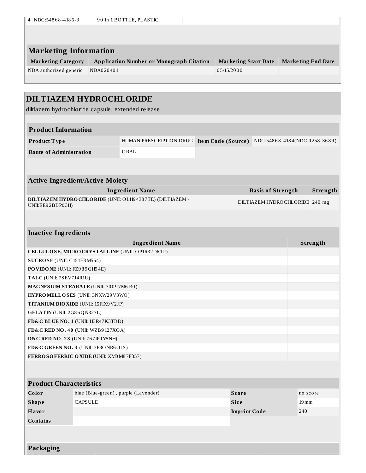| <b>Marketing Information</b> |                                                 |                             |                           |  |  |  |  |
|------------------------------|-------------------------------------------------|-----------------------------|---------------------------|--|--|--|--|
| <b>Marketing Category</b>    | <b>Application Number or Monograph Citation</b> | <b>Marketing Start Date</b> | <b>Marketing End Date</b> |  |  |  |  |
| NDA authorized generic       | NDA020401                                       | 05/15/2000                  |                           |  |  |  |  |
|                              |                                                 |                             |                           |  |  |  |  |

# **DILTIAZEM HYDROCHLORIDE** diltiazem hydrochloride capsule, extended release **Product Information Product T ype** HUMAN PRESCRIPTION DRUG **Ite m Code (Source )** NDC:548 6 8 -418 4(NDC:0 258 -36 8 9 ) **Route of Administration** ORAL **Active Ingredient/Active Moiety Ingredient Name Basis of Strength Strength DILTIAZEM HYDROCHLORIDE** (UNII: OLH9 438 7TE) (DILTIAZEM - UNII:EE9 2BBP0 3H) DILTIAZEM HYDROCHLORIDE 240 mg **Inactive Ingredients Ingredient Name Strength CELLULOSE, MICROCRYSTALLINE** (UNII: OP1R32D6 1U) **SUCROSE** (UNII: C151H8M554) **POVIDONE** (UNII: FZ9 8 9GH9 4E) **TALC** (UNII: 7SEV7J4R1U) **MAGNESIUM STEARATE** (UNII: 70 0 9 7M6 I30 ) **HYPROMELLOSES** (UNII: 3NXW29V3WO)

**TITANIUM DIOXIDE** (UNII: 15FIX9V2JP) **GELATIN** (UNII: 2G8 6QN327L) **FD&C BLUE NO. 1** (UNII: H3R47K3TBD) **FD&C RED NO. 4 0** (UNII: WZB9 127XOA) **D&C RED NO. 2 8** (UNII: 76 7IP0Y5NH) **FD&C GREEN NO. 3** (UNII: 3P3ONR6O1S) **FERROSOFERRIC OXIDE** (UNII: XM0M8 7F357)

| <b>Product Characteristics</b> |                                      |                     |                    |  |  |  |
|--------------------------------|--------------------------------------|---------------------|--------------------|--|--|--|
| Color                          | blue (Blue-green), purple (Lavender) | <b>Score</b>        | no score           |  |  |  |
| <b>Shape</b>                   | <b>CAPSULE</b>                       | <b>Size</b>         | $19 \,\mathrm{mm}$ |  |  |  |
| Flavor                         |                                      | <b>Imprint Code</b> | 240                |  |  |  |
| <b>Contains</b>                |                                      |                     |                    |  |  |  |
|                                |                                      |                     |                    |  |  |  |
|                                |                                      |                     |                    |  |  |  |

**Packaging**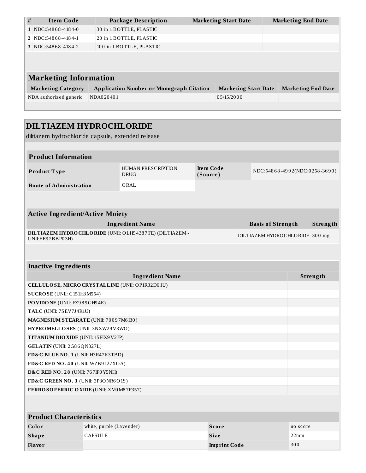| #                                      | <b>Item Code</b>                                  |           | <b>Package Description</b>                               |                  | <b>Marketing Start Date</b> |                             | <b>Marketing End Date</b>      |          |
|----------------------------------------|---------------------------------------------------|-----------|----------------------------------------------------------|------------------|-----------------------------|-----------------------------|--------------------------------|----------|
|                                        | 1 NDC:54868-4184-0                                |           | 30 in 1 BOTTLE, PLASTIC                                  |                  |                             |                             |                                |          |
|                                        | 2 NDC:54868-4184-1                                |           | 20 in 1 BOTTLE, PLASTIC                                  |                  |                             |                             |                                |          |
|                                        | 3 NDC:54868-4184-2                                |           | 100 in 1 BOTTLE, PLASTIC                                 |                  |                             |                             |                                |          |
|                                        |                                                   |           |                                                          |                  |                             |                             |                                |          |
|                                        |                                                   |           |                                                          |                  |                             |                             |                                |          |
|                                        | <b>Marketing Information</b>                      |           |                                                          |                  |                             |                             |                                |          |
|                                        | <b>Marketing Category</b>                         |           | <b>Application Number or Monograph Citation</b>          |                  |                             | <b>Marketing Start Date</b> | <b>Marketing End Date</b>      |          |
|                                        | NDA authorized generic                            | NDA020401 |                                                          |                  | 05/15/2000                  |                             |                                |          |
|                                        |                                                   |           |                                                          |                  |                             |                             |                                |          |
|                                        |                                                   |           |                                                          |                  |                             |                             |                                |          |
|                                        | <b>DILTIAZEM HYDROCHLORIDE</b>                    |           |                                                          |                  |                             |                             |                                |          |
|                                        |                                                   |           |                                                          |                  |                             |                             |                                |          |
|                                        | diltiazem hydrochloride capsule, extended release |           |                                                          |                  |                             |                             |                                |          |
|                                        |                                                   |           |                                                          |                  |                             |                             |                                |          |
|                                        | <b>Product Information</b>                        |           |                                                          |                  |                             |                             |                                |          |
|                                        | Product Type                                      |           | <b>HUMAN PRESCRIPTION</b>                                | <b>Item Code</b> |                             |                             | NDC:54868-4992(NDC:0258-3690)  |          |
|                                        |                                                   |           | <b>DRUG</b>                                              | (Source)         |                             |                             |                                |          |
|                                        | <b>Route of Administration</b>                    |           | ORAL                                                     |                  |                             |                             |                                |          |
|                                        |                                                   |           |                                                          |                  |                             |                             |                                |          |
|                                        |                                                   |           |                                                          |                  |                             |                             |                                |          |
| <b>Active Ingredient/Active Moiety</b> |                                                   |           |                                                          |                  |                             |                             |                                |          |
|                                        |                                                   |           | <b>Ingredient Name</b>                                   |                  |                             |                             | <b>Basis of Strength</b>       | Strength |
|                                        |                                                   |           | DILTIAZEM HYDRO CHLORIDE (UNII: OLH94387TE) (DILTIAZEM - |                  |                             |                             | DILTIAZEM HYDROCHLORIDE 300 mg |          |
|                                        | UNII:EE92BBP03H)                                  |           |                                                          |                  |                             |                             |                                |          |
|                                        |                                                   |           |                                                          |                  |                             |                             |                                |          |

| <b>Inactive Ingredients</b>                     |                 |
|-------------------------------------------------|-----------------|
| <b>Ingredient Name</b>                          | <b>Strength</b> |
| CELLULOSE, MICRO CRYSTALLINE (UNII: OP1R32D61U) |                 |
| SUCROSE (UNII: C151H8M554)                      |                 |
| PO VIDONE (UNII: FZ989GH94E)                    |                 |
| TALC (UNII: 7SEV7J4R1U)                         |                 |
| MAGNESIUM STEARATE (UNII: 70097M6I30)           |                 |
| HYPROMELLOSES (UNII: 3NXW29V3WO)                |                 |
| <b>TITANIUM DIO XIDE (UNII: 15FIX9 V2JP)</b>    |                 |
| GELATIN (UNII: 2G86QN327L)                      |                 |
| FD&C BLUE NO. 1 (UNII: H3R47K3TBD)              |                 |
| FD&C RED NO. 40 (UNII: WZB9127XOA)              |                 |
| <b>D&amp;C RED NO. 28 (UNII: 767IP0 Y5NH)</b>   |                 |
| FD&C GREEN NO. 3 (UNII: 3P3ONR6O1S)             |                 |
| FERROSOFERRIC OXIDE (UNII: XM0 M8 7F357)        |                 |
|                                                 |                 |
|                                                 |                 |
|                                                 |                 |

| <b>Product Characteristics</b> |                          |                     |          |  |  |
|--------------------------------|--------------------------|---------------------|----------|--|--|
| Color                          | white, purple (Lavender) | Score               | no score |  |  |
| <b>Shape</b>                   | CAPSULE                  | <b>Size</b>         | 22mm     |  |  |
| <b>Flavor</b>                  |                          | <b>Imprint Code</b> | 300      |  |  |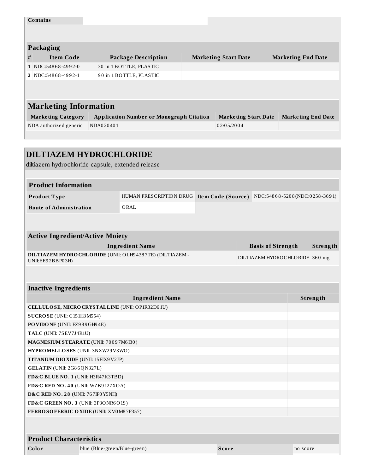|   | Contains                                                                     |           |                                                                          |  |                             |                                |                           |          |
|---|------------------------------------------------------------------------------|-----------|--------------------------------------------------------------------------|--|-----------------------------|--------------------------------|---------------------------|----------|
|   |                                                                              |           |                                                                          |  |                             |                                |                           |          |
|   |                                                                              |           |                                                                          |  |                             |                                |                           |          |
|   | Packaging                                                                    |           |                                                                          |  |                             |                                |                           |          |
| # | <b>Item Code</b>                                                             |           | <b>Package Description</b>                                               |  | <b>Marketing Start Date</b> |                                | <b>Marketing End Date</b> |          |
|   | 1 NDC:54868-4992-0                                                           |           | 30 in 1 BOTTLE, PLASTIC                                                  |  |                             |                                |                           |          |
|   | 2 NDC:54868-4992-1                                                           |           | 90 in 1 BOTTLE, PLASTIC                                                  |  |                             |                                |                           |          |
|   |                                                                              |           |                                                                          |  |                             |                                |                           |          |
|   |                                                                              |           |                                                                          |  |                             |                                |                           |          |
|   | <b>Marketing Information</b>                                                 |           |                                                                          |  |                             |                                |                           |          |
|   | <b>Marketing Category</b>                                                    |           | <b>Application Number or Monograph Citation</b>                          |  |                             | <b>Marketing Start Date</b>    | <b>Marketing End Date</b> |          |
|   | NDA authorized generic                                                       | NDA020401 |                                                                          |  | 02/05/2004                  |                                |                           |          |
|   |                                                                              |           |                                                                          |  |                             |                                |                           |          |
|   |                                                                              |           |                                                                          |  |                             |                                |                           |          |
|   | <b>DILTIAZEM HYDROCHLORIDE</b>                                               |           |                                                                          |  |                             |                                |                           |          |
|   | diltiazem hydrochloride capsule, extended release                            |           |                                                                          |  |                             |                                |                           |          |
|   |                                                                              |           |                                                                          |  |                             |                                |                           |          |
|   | <b>Product Information</b>                                                   |           |                                                                          |  |                             |                                |                           |          |
|   |                                                                              |           |                                                                          |  |                             |                                |                           |          |
|   | Product Type                                                                 |           | HUMAN PRESCRIPTION DRUG Item Code (Source) NDC:54868-5208(NDC:0258-3691) |  |                             |                                |                           |          |
|   | <b>Route of Administration</b>                                               |           | ORAL                                                                     |  |                             |                                |                           |          |
|   |                                                                              |           |                                                                          |  |                             |                                |                           |          |
|   |                                                                              |           |                                                                          |  |                             |                                |                           |          |
|   | <b>Active Ingredient/Active Moiety</b>                                       |           |                                                                          |  |                             |                                |                           |          |
|   |                                                                              |           | <b>Ingredient Name</b>                                                   |  |                             | <b>Basis of Strength</b>       |                           | Strength |
|   | DILTIAZEM HYDRO CHLORIDE (UNII: OLH94387TE) (DILTIAZEM -<br>UNII:EE92BBP03H) |           |                                                                          |  |                             | DILTIAZEM HYDROCHLORIDE 360 mg |                           |          |
|   |                                                                              |           |                                                                          |  |                             |                                |                           |          |
|   |                                                                              |           |                                                                          |  |                             |                                |                           |          |
|   | <b>Inactive Ingredients</b>                                                  |           |                                                                          |  |                             |                                |                           |          |
|   |                                                                              |           | <b>Ingredient Name</b>                                                   |  |                             |                                |                           | Strength |
|   | CELLULOSE, MICRO CRYSTALLINE (UNII: OP1R32D61U)                              |           |                                                                          |  |                             |                                |                           |          |
|   | SUCROSE (UNII: C151H8 M554)                                                  |           |                                                                          |  |                             |                                |                           |          |
|   | PO VIDO NE (UNII: FZ989GH94E)                                                |           |                                                                          |  |                             |                                |                           |          |
|   | TALC (UNII: 7SEV7J4R1U)                                                      |           |                                                                          |  |                             |                                |                           |          |
|   | MAGNESIUM STEARATE (UNII: 70097M6I30)                                        |           |                                                                          |  |                             |                                |                           |          |
|   | HYPROMELLOSES (UNII: 3NXW29V3WO)                                             |           |                                                                          |  |                             |                                |                           |          |
|   | TITANIUM DIO XIDE (UNII: 15FIX9V2JP)                                         |           |                                                                          |  |                             |                                |                           |          |
|   | <b>GELATIN</b> (UNII: 2G86QN327L)                                            |           |                                                                          |  |                             |                                |                           |          |
|   | FD&C BLUE NO. 1 (UNII: H3R47K3TBD)                                           |           |                                                                          |  |                             |                                |                           |          |
|   | FD&C RED NO. 40 (UNII: WZB9127XOA)                                           |           |                                                                          |  |                             |                                |                           |          |
|   | <b>D&amp;C RED NO. 28 (UNII: 767IPO Y5NH)</b>                                |           |                                                                          |  |                             |                                |                           |          |
|   | FD&C GREEN NO. 3 (UNII: 3P3ONR6O1S)                                          |           |                                                                          |  |                             |                                |                           |          |
|   | FERROSOFERRIC OXIDE (UNII: XM0 M8 7F357)                                     |           |                                                                          |  |                             |                                |                           |          |
|   |                                                                              |           |                                                                          |  |                             |                                |                           |          |

| <b>Product Characteristics</b> |                              |       |          |  |  |  |  |
|--------------------------------|------------------------------|-------|----------|--|--|--|--|
| Color                          | blue (Blue-green/Blue-green) | Score | no score |  |  |  |  |